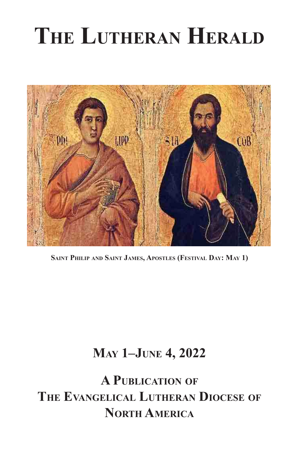# **The LuTheran heraLd**



**SainT PhiLiP and SainT JameS, aPoSTLeS (FeSTivaL day: may 1)**

# **may 1–June 4, 2022**

**a PubLicaTion oF The evangeLicaL LuTheran dioceSe oF NORTH AMERICA**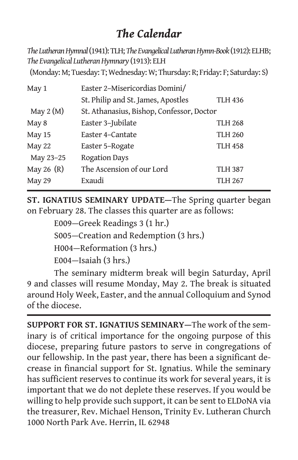# *The Calendar*

*The Lutheran Hymnal* (1941): TLH; *The Evangelical Lutheran Hymn-Book* (1912): ELHB; *The Evangelical Lutheran Hymnary* (1913): ELH

(Monday: M; Tuesday: T; Wednesday: W; Thursday: R; Friday: F; Saturday: S)

| May 1        | Easter 2-Misericordias Domini/            |                |
|--------------|-------------------------------------------|----------------|
|              | St. Philip and St. James, Apostles        | <b>TLH 436</b> |
| May $2(M)$   | St. Athanasius, Bishop, Confessor, Doctor |                |
| May 8        | Easter 3-Jubilate                         | <b>TLH 268</b> |
| May 15       | Easter 4-Cantate                          | <b>TLH 260</b> |
| May 22       | Easter 5-Rogate                           | <b>TLH 458</b> |
| May 23-25    | <b>Rogation Days</b>                      |                |
| May 26 $(R)$ | The Ascension of our Lord                 | <b>TLH 387</b> |
| May 29       | Exaudi                                    | <b>TLH 267</b> |

**ST. IGNATIUS SEMINARY UPDATE—**The Spring quarter began on February 28. The classes this quarter are as follows:

E009—Greek Readings 3 (1 hr.)

S005—Creation and Redemption (3 hrs.)

H004—Reformation (3 hrs.)

E004—Isaiah (3 hrs.)

The seminary midterm break will begin Saturday, April 9 and classes will resume Monday, May 2. The break is situated around Holy Week, Easter, and the annual Colloquium and Synod of the diocese.

**SUPPORT FOR ST. IGNATIUS SEMINARY—**The work of the seminary is of critical importance for the ongoing purpose of this diocese, preparing future pastors to serve in congregations of our fellowship. In the past year, there has been a significant decrease in fnancial support for St. Ignatius. While the seminary has sufficient reserves to continue its work for several years, it is important that we do not deplete these reserves. If you would be willing to help provide such support, it can be sent to ELDoNA via the treasurer, Rev. Michael Henson, Trinity Ev. Lutheran Church 1000 North Park Ave. Herrin, IL 62948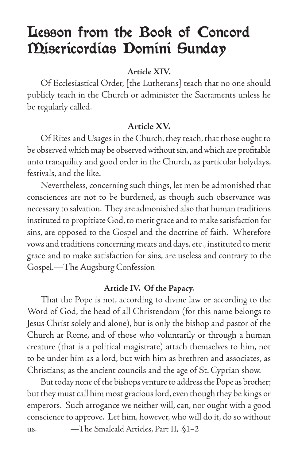# Lesson from the Book of Concord Misericordias Domini Sunday

#### Article XIV.

Of Ecclesiastical Order, [the Lutherans] teach that no one should publicly teach in the Church or administer the Sacraments unless he be regularly called.

#### Article XV.

Of Rites and Usages in the Church, they teach, that those ought to be observed which may be observed without sin, and which are profitable unto tranquility and good order in the Church, as particular holydays, festivals, and the like.

Nevertheless, concerning such things, let men be admonished that consciences are not to be burdened, as though such observance was necessary to salvation. They are admonished also that human traditions instituted to propitiate God, to merit grace and to make satisfaction for sins, are opposed to the Gospel and the doctrine of faith. Wherefore vows and traditions concerning meats and days, etc., instituted to merit grace and to make satisfaction for sins, are useless and contrary to the Gospel.—The Augsburg Confession

#### Article IV. Of the Papacy.

That the Pope is not, according to divine law or according to the Word of God, the head of all Christendom (for this name belongs to Jesus Christ solely and alone), but is only the bishop and pastor of the Church at Rome, and of those who voluntarily or through a human creature (that is a political magistrate) attach themselves to him, not to be under him as a lord, but with him as brethren and associates, as Christians; as the ancient councils and the age of St. Cyprian show.

But today none of the bishops venture to address the Pope as brother; but they must call him most gracious lord, even though they be kings or emperors. Such arrogance we neither will, can, nor ought with a good conscience to approve. Let him, however, who will do it, do so without us. —The Smalcald Articles, Part II, .§1–2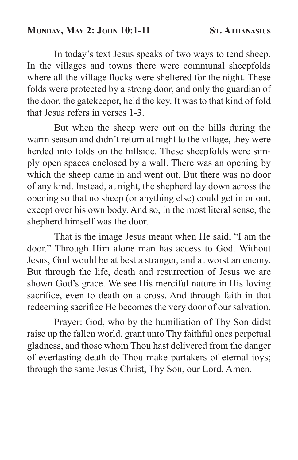In today's text Jesus speaks of two ways to tend sheep. In the villages and towns there were communal sheepfolds where all the village focks were sheltered for the night. These folds were protected by a strong door, and only the guardian of the door, the gatekeeper, held the key. It was to that kind of fold that Jesus refers in verses 1-3.

But when the sheep were out on the hills during the warm season and didn't return at night to the village, they were herded into folds on the hillside. These sheepfolds were simply open spaces enclosed by a wall. There was an opening by which the sheep came in and went out. But there was no door of any kind. Instead, at night, the shepherd lay down across the opening so that no sheep (or anything else) could get in or out, except over his own body. And so, in the most literal sense, the shepherd himself was the door.

That is the image Jesus meant when He said, "I am the door." Through Him alone man has access to God. Without Jesus, God would be at best a stranger, and at worst an enemy. But through the life, death and resurrection of Jesus we are shown God's grace. We see His merciful nature in His loving sacrifce, even to death on a cross. And through faith in that redeeming sacrifce He becomes the very door of our salvation.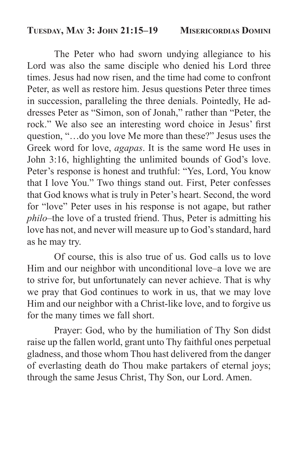The Peter who had sworn undying allegiance to his Lord was also the same disciple who denied his Lord three times. Jesus had now risen, and the time had come to confront Peter, as well as restore him. Jesus questions Peter three times in succession, paralleling the three denials. Pointedly, He addresses Peter as "Simon, son of Jonah," rather than "Peter, the rock." We also see an interesting word choice in Jesus' frst question, "…do you love Me more than these?" Jesus uses the Greek word for love, *agapas*. It is the same word He uses in John 3:16, highlighting the unlimited bounds of God's love. Peter's response is honest and truthful: "Yes, Lord, You know that I love You." Two things stand out. First, Peter confesses that God knows what is truly in Peter's heart. Second, the word for "love" Peter uses in his response is not agape, but rather *philo*–the love of a trusted friend. Thus, Peter is admitting his love has not, and never will measure up to God's standard, hard as he may try.

Of course, this is also true of us. God calls us to love Him and our neighbor with unconditional love–a love we are to strive for, but unfortunately can never achieve. That is why we pray that God continues to work in us, that we may love Him and our neighbor with a Christ-like love, and to forgive us for the many times we fall short.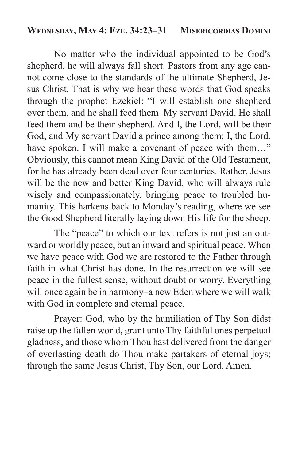### WEDNESDAY, MAY 4: EZE. 34:23-31 MISERICORDIAS DOMINI

No matter who the individual appointed to be God's shepherd, he will always fall short. Pastors from any age cannot come close to the standards of the ultimate Shepherd, Jesus Christ. That is why we hear these words that God speaks through the prophet Ezekiel: "I will establish one shepherd over them, and he shall feed them–My servant David. He shall feed them and be their shepherd. And I, the Lord, will be their God, and My servant David a prince among them; I, the Lord, have spoken. I will make a covenant of peace with them..." Obviously, this cannot mean King David of the Old Testament, for he has already been dead over four centuries. Rather, Jesus will be the new and better King David, who will always rule wisely and compassionately, bringing peace to troubled humanity. This harkens back to Monday's reading, where we see the Good Shepherd literally laying down His life for the sheep.

The "peace" to which our text refers is not just an outward or worldly peace, but an inward and spiritual peace. When we have peace with God we are restored to the Father through faith in what Christ has done. In the resurrection we will see peace in the fullest sense, without doubt or worry. Everything will once again be in harmony–a new Eden where we will walk with God in complete and eternal peace.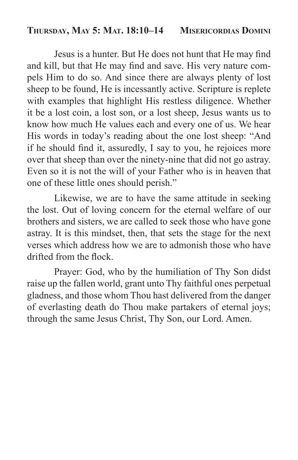### Thursday, May 5: Mat. 18:10-14 Misericordias Domini

Jesus is a hunter. But He does not hunt that He may fnd and kill, but that He may fnd and save. His very nature compels Him to do so. And since there are always plenty of lost sheep to be found, He is incessantly active. Scripture is replete with examples that highlight His restless diligence. Whether it be a lost coin, a lost son, or a lost sheep, Jesus wants us to know how much He values each and every one of us. We hear His words in today's reading about the one lost sheep: "And if he should fnd it, assuredly, I say to you, he rejoices more over that sheep than over the ninety-nine that did not go astray. Even so it is not the will of your Father who is in heaven that one of these little ones should perish."

Likewise, we are to have the same attitude in seeking the lost. Out of loving concern for the eternal welfare of our brothers and sisters, we are called to seek those who have gone astray. It is this mindset, then, that sets the stage for the next verses which address how we are to admonish those who have drifted from the fock.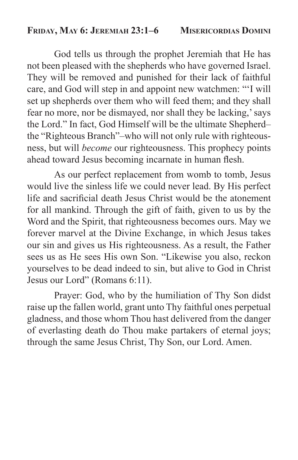## FRIDAY, MAY 6: JEREMIAH 23:1-6 MISERICORDIAS DOMINI

God tells us through the prophet Jeremiah that He has not been pleased with the shepherds who have governed Israel. They will be removed and punished for their lack of faithful care, and God will step in and appoint new watchmen: "'I will set up shepherds over them who will feed them; and they shall fear no more, nor be dismayed, nor shall they be lacking,' says the Lord." In fact, God Himself will be the ultimate Shepherd– the "Righteous Branch"–who will not only rule with righteousness, but will *become* our righteousness. This prophecy points ahead toward Jesus becoming incarnate in human fesh.

As our perfect replacement from womb to tomb, Jesus would live the sinless life we could never lead. By His perfect life and sacrifcial death Jesus Christ would be the atonement for all mankind. Through the gift of faith, given to us by the Word and the Spirit, that righteousness becomes ours. May we forever marvel at the Divine Exchange, in which Jesus takes our sin and gives us His righteousness. As a result, the Father sees us as He sees His own Son. "Likewise you also, reckon yourselves to be dead indeed to sin, but alive to God in Christ Jesus our Lord" (Romans 6:11).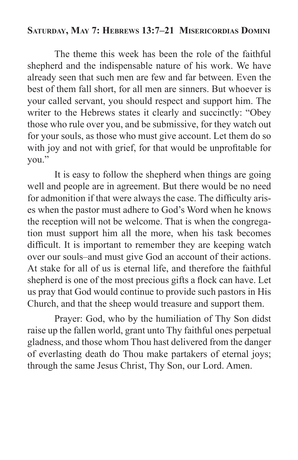### SATURDAY, MAY 7: HEBREWS 13:7-21 MISERICORDIAS DOMINI

The theme this week has been the role of the faithful shepherd and the indispensable nature of his work. We have already seen that such men are few and far between. Even the best of them fall short, for all men are sinners. But whoever is your called servant, you should respect and support him. The writer to the Hebrews states it clearly and succinctly: "Obey those who rule over you, and be submissive, for they watch out for your souls, as those who must give account. Let them do so with joy and not with grief, for that would be unprofitable for you."

It is easy to follow the shepherd when things are going well and people are in agreement. But there would be no need for admonition if that were always the case. The difficulty arises when the pastor must adhere to God's Word when he knows the reception will not be welcome. That is when the congregation must support him all the more, when his task becomes difficult. It is important to remember they are keeping watch over our souls–and must give God an account of their actions. At stake for all of us is eternal life, and therefore the faithful shepherd is one of the most precious gifts a fock can have. Let us pray that God would continue to provide such pastors in His Church, and that the sheep would treasure and support them.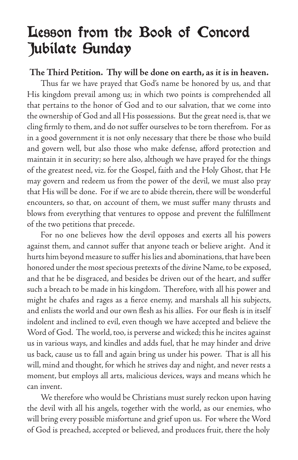# Lesson from the Book of Concord Jubilate Sunday

#### The Third Petition. Thy will be done on earth, as it is in heaven.

Thus far we have prayed that God's name be honored by us, and that His kingdom prevail among us; in which two points is comprehended all that pertains to the honor of God and to our salvation, that we come into the ownership of God and all His possessions. But the great need is, that we cling firmly to them, and do not suffer ourselves to be torn therefrom. For as in a good government it is not only necessary that there be those who build and govern well, but also those who make defense, afford protection and maintain it in security; so here also, although we have prayed for the things of the greatest need, viz. for the Gospel, faith and the Holy Ghost, that He may govern and redeem us from the power of the devil, we must also pray that His will be done. For if we are to abide therein, there will be wonderful encounters, so that, on account of them, we must suffer many thrusts and blows from everything that ventures to oppose and prevent the fulfillment of the two petitions that precede.

For no one believes how the devil opposes and exerts all his powers against them, and cannot suffer that anyone teach or believe aright. And it hurts him beyond measure to suffer his lies and abominations, that have been honored under the most specious pretexts of the divine Name, to be exposed, and that he be disgraced, and besides be driven out of the heart, and suffer such a breach to be made in his kingdom. Therefore, with all his power and might he chafes and rages as a fierce enemy, and marshals all his subjects, and enlists the world and our own flesh as his allies. For our flesh is in itself indolent and inclined to evil, even though we have accepted and believe the Word of God. The world, too, is perverse and wicked; this he incites against us in various ways, and kindles and adds fuel, that he may hinder and drive us back, cause us to fall and again bring us under his power. That is all his will, mind and thought, for which he strives day and night, and never rests a moment, but employs all arts, malicious devices, ways and means which he can invent.

We therefore who would be Christians must surely reckon upon having the devil with all his angels, together with the world, as our enemies, who will bring every possible misfortune and grief upon us. For where the Word of God is preached, accepted or believed, and produces fruit, there the holy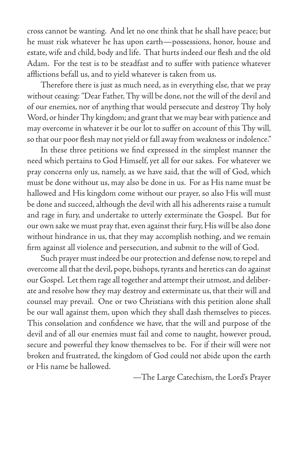cross cannot be wanting. And let no one think that he shall have peace; but he must risk whatever he has upon earth—possessions, honor, house and estate, wife and child, body and life. That hurts indeed our flesh and the old Adam. For the test is to be steadfast and to suffer with patience whatever afflictions befall us, and to yield whatever is taken from us.

Therefore there is just as much need, as in everything else, that we pray without ceasing: "Dear Father, Thy will be done, not the will of the devil and of our enemies, nor of anything that would persecute and destroy Thy holy Word, or hinder Thy kingdom; and grant that we may bear with patience and may overcome in whatever it be our lot to suffer on account of this Thy will, so that our poor flesh may not yield or fall away from weakness or indolence."

In these three petitions we find expressed in the simplest manner the need which pertains to God Himself, yet all for our sakes. For whatever we pray concerns only us, namely, as we have said, that the will of God, which must be done without us, may also be done in us. For as His name must be hallowed and His kingdom come without our prayer, so also His will must be done and succeed, although the devil with all his adherents raise a tumult and rage in fury, and undertake to utterly exterminate the Gospel. But for our own sake we must pray that, even against their fury, His will be also done without hindrance in us, that they may accomplish nothing, and we remain firm against all violence and persecution, and submit to the will of God.

Such prayer must indeed be our protection and defense now, to repel and overcome all that the devil, pope, bishops, tyrants and heretics can do against our Gospel. Let them rage all together and attempt their utmost, and deliberate and resolve how they may destroy and exterminate us, that their will and counsel may prevail. One or two Christians with this petition alone shall be our wall against them, upon which they shall dash themselves to pieces. This consolation and confidence we have, that the will and purpose of the devil and of all our enemies must fail and come to naught, however proud, secure and powerful they know themselves to be. For if their will were not broken and frustrated, the kingdom of God could not abide upon the earth or His name be hallowed.

—The Large Catechism, the Lord's Prayer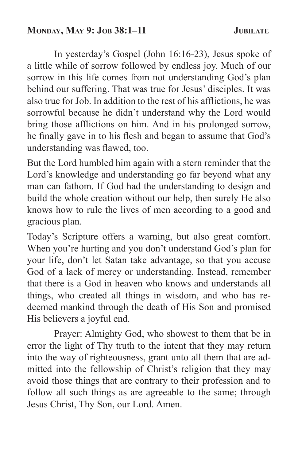In yesterday's Gospel (John 16:16-23), Jesus spoke of a little while of sorrow followed by endless joy. Much of our sorrow in this life comes from not understanding God's plan behind our suffering. That was true for Jesus' disciples. It was also true for Job. In addition to the rest of his affictions, he was sorrowful because he didn't understand why the Lord would bring those affictions on him. And in his prolonged sorrow, he fnally gave in to his fesh and began to assume that God's understanding was fawed, too.

But the Lord humbled him again with a stern reminder that the Lord's knowledge and understanding go far beyond what any man can fathom. If God had the understanding to design and build the whole creation without our help, then surely He also knows how to rule the lives of men according to a good and gracious plan.

Today's Scripture offers a warning, but also great comfort. When you're hurting and you don't understand God's plan for your life, don't let Satan take advantage, so that you accuse God of a lack of mercy or understanding. Instead, remember that there is a God in heaven who knows and understands all things, who created all things in wisdom, and who has redeemed mankind through the death of His Son and promised His believers a joyful end.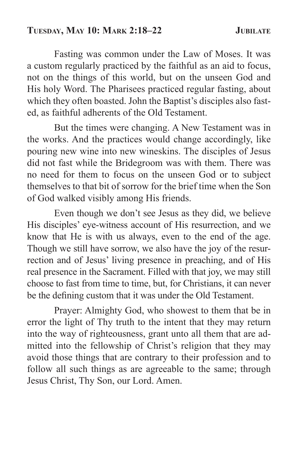Fasting was common under the Law of Moses. It was a custom regularly practiced by the faithful as an aid to focus, not on the things of this world, but on the unseen God and His holy Word. The Pharisees practiced regular fasting, about which they often boasted. John the Baptist's disciples also fasted, as faithful adherents of the Old Testament.

But the times were changing. A New Testament was in the works. And the practices would change accordingly, like pouring new wine into new wineskins. The disciples of Jesus did not fast while the Bridegroom was with them. There was no need for them to focus on the unseen God or to subject themselves to that bit of sorrow for the brief time when the Son of God walked visibly among His friends.

Even though we don't see Jesus as they did, we believe His disciples' eye-witness account of His resurrection, and we know that He is with us always, even to the end of the age. Though we still have sorrow, we also have the joy of the resurrection and of Jesus' living presence in preaching, and of His real presence in the Sacrament. Filled with that joy, we may still choose to fast from time to time, but, for Christians, it can never be the defning custom that it was under the Old Testament.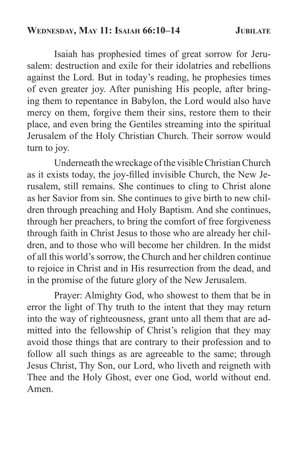Isaiah has prophesied times of great sorrow for Jerusalem: destruction and exile for their idolatries and rebellions against the Lord. But in today's reading, he prophesies times of even greater joy. After punishing His people, after bringing them to repentance in Babylon, the Lord would also have mercy on them, forgive them their sins, restore them to their place, and even bring the Gentiles streaming into the spiritual Jerusalem of the Holy Christian Church. Their sorrow would turn to joy.

Underneath the wreckage of the visible Christian Church as it exists today, the joy-flled invisible Church, the New Jerusalem, still remains. She continues to cling to Christ alone as her Savior from sin. She continues to give birth to new children through preaching and Holy Baptism. And she continues, through her preachers, to bring the comfort of free forgiveness through faith in Christ Jesus to those who are already her children, and to those who will become her children. In the midst of all this world's sorrow, the Church and her children continue to rejoice in Christ and in His resurrection from the dead, and in the promise of the future glory of the New Jerusalem.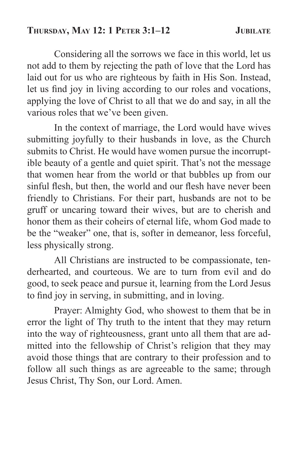Considering all the sorrows we face in this world, let us not add to them by rejecting the path of love that the Lord has laid out for us who are righteous by faith in His Son. Instead, let us fnd joy in living according to our roles and vocations, applying the love of Christ to all that we do and say, in all the various roles that we've been given.

In the context of marriage, the Lord would have wives submitting joyfully to their husbands in love, as the Church submits to Christ. He would have women pursue the incorruptible beauty of a gentle and quiet spirit. That's not the message that women hear from the world or that bubbles up from our sinful flesh, but then, the world and our flesh have never been friendly to Christians. For their part, husbands are not to be gruff or uncaring toward their wives, but are to cherish and honor them as their coheirs of eternal life, whom God made to be the "weaker" one, that is, softer in demeanor, less forceful, less physically strong.

All Christians are instructed to be compassionate, tenderhearted, and courteous. We are to turn from evil and do good, to seek peace and pursue it, learning from the Lord Jesus to fnd joy in serving, in submitting, and in loving.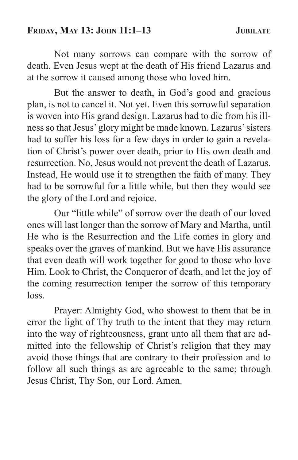### **FRIDAY, MAY 13: JOHN 11:1-13** JUBILATE

Not many sorrows can compare with the sorrow of death. Even Jesus wept at the death of His friend Lazarus and at the sorrow it caused among those who loved him.

But the answer to death, in God's good and gracious plan, is not to cancel it. Not yet. Even this sorrowful separation is woven into His grand design. Lazarus had to die from his illness so that Jesus' glory might be made known. Lazarus' sisters had to suffer his loss for a few days in order to gain a revelation of Christ's power over death, prior to His own death and resurrection. No, Jesus would not prevent the death of Lazarus. Instead, He would use it to strengthen the faith of many. They had to be sorrowful for a little while, but then they would see the glory of the Lord and rejoice.

Our "little while" of sorrow over the death of our loved ones will last longer than the sorrow of Mary and Martha, until He who is the Resurrection and the Life comes in glory and speaks over the graves of mankind. But we have His assurance that even death will work together for good to those who love Him. Look to Christ, the Conqueror of death, and let the joy of the coming resurrection temper the sorrow of this temporary loss.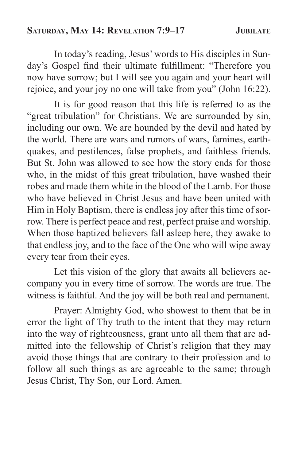In today's reading, Jesus' words to His disciples in Sunday's Gospel fnd their ultimate fulfllment: "Therefore you now have sorrow; but I will see you again and your heart will rejoice, and your joy no one will take from you" (John 16:22).

It is for good reason that this life is referred to as the "great tribulation" for Christians. We are surrounded by sin, including our own. We are hounded by the devil and hated by the world. There are wars and rumors of wars, famines, earthquakes, and pestilences, false prophets, and faithless friends. But St. John was allowed to see how the story ends for those who, in the midst of this great tribulation, have washed their robes and made them white in the blood of the Lamb. For those who have believed in Christ Jesus and have been united with Him in Holy Baptism, there is endless joy after this time of sorrow. There is perfect peace and rest, perfect praise and worship. When those baptized believers fall asleep here, they awake to that endless joy, and to the face of the One who will wipe away every tear from their eyes.

Let this vision of the glory that awaits all believers accompany you in every time of sorrow. The words are true. The witness is faithful. And the joy will be both real and permanent.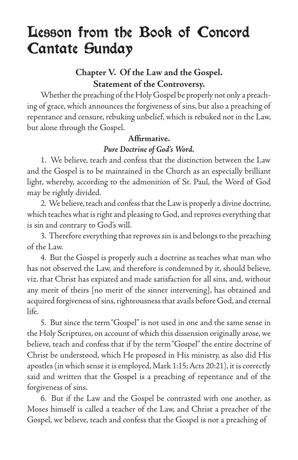# Lesson from the Book of Concord Cantate Sunday

# Chapter V. Of the Law and the Gospel. Statement of the Controversy.

Whether the preaching of the Holy Gospel be properly not only a preaching of grace, which announces the forgiveness of sins, but also a preaching of repentance and censure, rebuking unbelief, which is rebuked not in the Law, but alone through the Gospel.

#### Affirmative.

#### *Pure Doctrine of God's Word.*

1. We believe, teach and confess that the distinction between the Law and the Gospel is to be maintained in the Church as an especially brilliant light, whereby, according to the admonition of St. Paul, the Word of God may be rightly divided.

2. We believe, teach and confess that the Law is properly a divine doctrine, which teaches what is right and pleasing to God, and reproves everything that is sin and contrary to God's will.

3. Therefore everything that reproves sin is and belongs to the preaching of the Law.

4. But the Gospel is properly such a doctrine as teaches what man who has not observed the Law, and therefore is condemned by it, should believe, viz. that Christ has expiated and made satisfaction for all sins, and, without any merit of theirs [no merit of the sinner intervening], has obtained and acquired forgiveness of sins, righteousness that avails before God, and eternal life.

5. But since the term "Gospel" is not used in one and the same sense in the Holy Scriptures, on account of which this dissension originally arose, we believe, teach and confess that if by the term "Gospel" the entire doctrine of Christ be understood, which He proposed in His ministry, as also did His apostles (in which sense it is employed, Mark 1:15; Acts 20:21), it is correctly said and written that the Gospel is a preaching of repentance and of the forgiveness of sins.

6. But if the Law and the Gospel be contrasted with one another, as Moses himself is called a teacher of the Law, and Christ a preacher of the Gospel, we believe, teach and confess that the Gospel is not a preaching of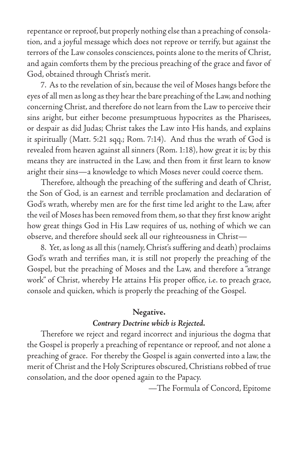repentance or reproof, but properly nothing else than a preaching of consolation, and a joyful message which does not reprove or terrify, but against the terrors of the Law consoles consciences, points alone to the merits of Christ, and again comforts them by the precious preaching of the grace and favor of God, obtained through Christ's merit.

7. As to the revelation of sin, because the veil of Moses hangs before the eyes of all men as long as they hear the bare preaching of the Law, and nothing concerning Christ, and therefore do not learn from the Law to perceive their sins aright, but either become presumptuous hypocrites as the Pharisees, or despair as did Judas; Christ takes the Law into His hands, and explains it spiritually (Matt. 5:21 sqq.; Rom. 7:14). And thus the wrath of God is revealed from heaven against all sinners (Rom. 1:18), how great it is; by this means they are instructed in the Law, and then from it first learn to know aright their sins—a knowledge to which Moses never could coerce them.

Therefore, although the preaching of the suffering and death of Christ, the Son of God, is an earnest and terrible proclamation and declaration of God's wrath, whereby men are for the first time led aright to the Law, after the veil of Moses has been removed from them, so that they first know aright how great things God in His Law requires of us, nothing of which we can observe, and therefore should seek all our righteousness in Christ—

8. Yet, as long as all this (namely, Christ's suffering and death) proclaims God's wrath and terrifies man, it is still not properly the preaching of the Gospel, but the preaching of Moses and the Law, and therefore a "strange work" of Christ, whereby He attains His proper office, i.e. to preach grace, console and quicken, which is properly the preaching of the Gospel.

#### Negative.

#### *Contrary Doctrine which is Rejected.*

Therefore we reject and regard incorrect and injurious the dogma that the Gospel is properly a preaching of repentance or reproof, and not alone a preaching of grace. For thereby the Gospel is again converted into a law, the merit of Christ and the Holy Scriptures obscured, Christians robbed of true consolation, and the door opened again to the Papacy.

—The Formula of Concord, Epitome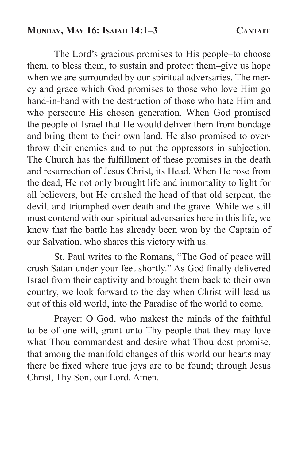The Lord's gracious promises to His people–to choose them, to bless them, to sustain and protect them–give us hope when we are surrounded by our spiritual adversaries. The mercy and grace which God promises to those who love Him go hand-in-hand with the destruction of those who hate Him and who persecute His chosen generation. When God promised the people of Israel that He would deliver them from bondage and bring them to their own land, He also promised to overthrow their enemies and to put the oppressors in subjection. The Church has the fulfllment of these promises in the death and resurrection of Jesus Christ, its Head. When He rose from the dead, He not only brought life and immortality to light for all believers, but He crushed the head of that old serpent, the devil, and triumphed over death and the grave. While we still must contend with our spiritual adversaries here in this life, we know that the battle has already been won by the Captain of our Salvation, who shares this victory with us.

St. Paul writes to the Romans, "The God of peace will crush Satan under your feet shortly." As God fnally delivered Israel from their captivity and brought them back to their own country, we look forward to the day when Christ will lead us out of this old world, into the Paradise of the world to come.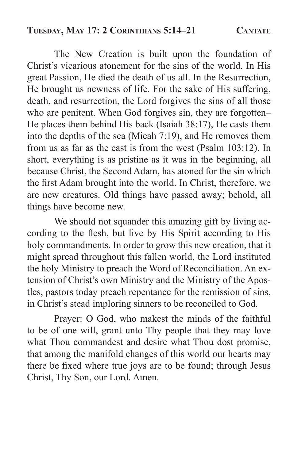### Tuesday, May 17: 2 Corinthians 5:14-21 **CANTATE**

The New Creation is built upon the foundation of Christ's vicarious atonement for the sins of the world. In His great Passion, He died the death of us all. In the Resurrection, He brought us newness of life. For the sake of His suffering, death, and resurrection, the Lord forgives the sins of all those who are penitent. When God forgives sin, they are forgotten– He places them behind His back (Isaiah 38:17), He casts them into the depths of the sea (Micah 7:19), and He removes them from us as far as the east is from the west (Psalm 103:12). In short, everything is as pristine as it was in the beginning, all because Christ, the Second Adam, has atoned for the sin which the frst Adam brought into the world. In Christ, therefore, we are new creatures. Old things have passed away; behold, all things have become new.

We should not squander this amazing gift by living according to the fesh, but live by His Spirit according to His holy commandments. In order to grow this new creation, that it might spread throughout this fallen world, the Lord instituted the holy Ministry to preach the Word of Reconciliation. An extension of Christ's own Ministry and the Ministry of the Apostles, pastors today preach repentance for the remission of sins, in Christ's stead imploring sinners to be reconciled to God.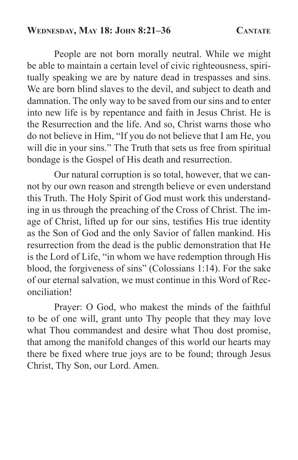People are not born morally neutral. While we might be able to maintain a certain level of civic righteousness, spiritually speaking we are by nature dead in trespasses and sins. We are born blind slaves to the devil, and subject to death and damnation. The only way to be saved from our sins and to enter into new life is by repentance and faith in Jesus Christ. He is the Resurrection and the life. And so, Christ warns those who do not believe in Him, "If you do not believe that I am He, you will die in your sins." The Truth that sets us free from spiritual bondage is the Gospel of His death and resurrection.

Our natural corruption is so total, however, that we cannot by our own reason and strength believe or even understand this Truth. The Holy Spirit of God must work this understanding in us through the preaching of the Cross of Christ. The image of Christ, lifted up for our sins, testifes His true identity as the Son of God and the only Savior of fallen mankind. His resurrection from the dead is the public demonstration that He is the Lord of Life, "in whom we have redemption through His blood, the forgiveness of sins" (Colossians 1:14). For the sake of our eternal salvation, we must continue in this Word of Reconciliation!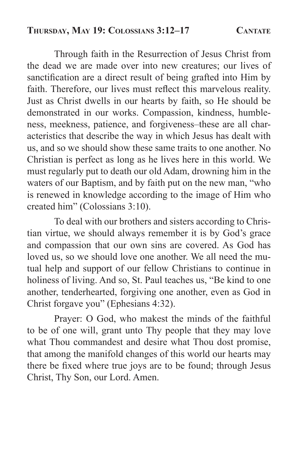Through faith in the Resurrection of Jesus Christ from the dead we are made over into new creatures; our lives of sanctifcation are a direct result of being grafted into Him by faith. Therefore, our lives must refect this marvelous reality. Just as Christ dwells in our hearts by faith, so He should be demonstrated in our works. Compassion, kindness, humbleness, meekness, patience, and forgiveness–these are all characteristics that describe the way in which Jesus has dealt with us, and so we should show these same traits to one another. No Christian is perfect as long as he lives here in this world. We must regularly put to death our old Adam, drowning him in the waters of our Baptism, and by faith put on the new man, "who is renewed in knowledge according to the image of Him who created him" (Colossians 3:10).

To deal with our brothers and sisters according to Christian virtue, we should always remember it is by God's grace and compassion that our own sins are covered. As God has loved us, so we should love one another. We all need the mutual help and support of our fellow Christians to continue in holiness of living. And so, St. Paul teaches us, "Be kind to one another, tenderhearted, forgiving one another, even as God in Christ forgave you" (Ephesians 4:32).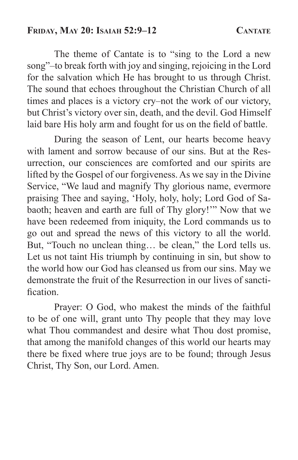The theme of Cantate is to "sing to the Lord a new song"–to break forth with joy and singing, rejoicing in the Lord for the salvation which He has brought to us through Christ. The sound that echoes throughout the Christian Church of all times and places is a victory cry–not the work of our victory, but Christ's victory over sin, death, and the devil. God Himself laid bare His holy arm and fought for us on the feld of battle.

During the season of Lent, our hearts become heavy with lament and sorrow because of our sins. But at the Resurrection, our consciences are comforted and our spirits are lifted by the Gospel of our forgiveness. As we say in the Divine Service, "We laud and magnify Thy glorious name, evermore praising Thee and saying, 'Holy, holy, holy; Lord God of Sabaoth; heaven and earth are full of Thy glory!'" Now that we have been redeemed from iniquity, the Lord commands us to go out and spread the news of this victory to all the world. But, "Touch no unclean thing… be clean," the Lord tells us. Let us not taint His triumph by continuing in sin, but show to the world how our God has cleansed us from our sins. May we demonstrate the fruit of the Resurrection in our lives of sanctification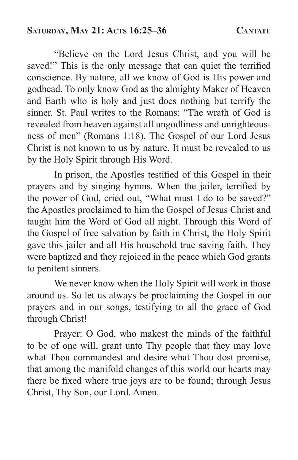"Believe on the Lord Jesus Christ, and you will be saved!" This is the only message that can quiet the terrified conscience. By nature, all we know of God is His power and godhead. To only know God as the almighty Maker of Heaven and Earth who is holy and just does nothing but terrify the sinner. St. Paul writes to the Romans: "The wrath of God is revealed from heaven against all ungodliness and unrighteousness of men" (Romans 1:18). The Gospel of our Lord Jesus Christ is not known to us by nature. It must be revealed to us by the Holy Spirit through His Word.

In prison, the Apostles testifed of this Gospel in their prayers and by singing hymns. When the jailer, terrifed by the power of God, cried out, "What must I do to be saved?" the Apostles proclaimed to him the Gospel of Jesus Christ and taught him the Word of God all night. Through this Word of the Gospel of free salvation by faith in Christ, the Holy Spirit gave this jailer and all His household true saving faith. They were baptized and they rejoiced in the peace which God grants to penitent sinners.

We never know when the Holy Spirit will work in those around us. So let us always be proclaiming the Gospel in our prayers and in our songs, testifying to all the grace of God through Christ!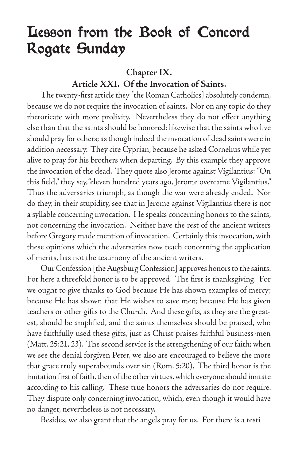# Lesson from the Book of Concord Rogate Sunday

## Chapter IX. Article XXI. Of the Invocation of Saints.

The twenty-first article they [the Roman Catholics] absolutely condemn, because we do not require the invocation of saints. Nor on any topic do they rhetoricate with more prolixity. Nevertheless they do not effect anything else than that the saints should be honored; likewise that the saints who live should pray for others; as though indeed the invocation of dead saints were in addition necessary. They cite Cyprian, because he asked Cornelius while yet alive to pray for his brothers when departing. By this example they approve the invocation of the dead. They quote also Jerome against Vigilantius: "On this field," they say, "eleven hundred years ago, Jerome overcame Vigilantius." Thus the adversaries triumph, as though the war were already ended. Nor do they, in their stupidity, see that in Jerome against Vigilantius there is not a syllable concerning invocation. He speaks concerning honors to the saints, not concerning the invocation. Neither have the rest of the ancient writers before Gregory made mention of invocation. Certainly this invocation, with these opinions which the adversaries now teach concerning the application of merits, has not the testimony of the ancient writers.

Our Confession [the Augsburg Confession] approves honors to the saints. For here a threefold honor is to be approved. The first is thanksgiving. For we ought to give thanks to God because He has shown examples of mercy; because He has shown that He wishes to save men; because He has given teachers or other gifts to the Church. And these gifts, as they are the greatest, should be amplified, and the saints themselves should be praised, who have faithfully used these gifts, just as Christ praises faithful business-men (Matt. 25:21, 23). The second service is the strengthening of our faith; when we see the denial forgiven Peter, we also are encouraged to believe the more that grace truly superabounds over sin (Rom. 5:20). The third honor is the imitation first of faith, then of the other virtues, which everyone should imitate according to his calling. These true honors the adversaries do not require. They dispute only concerning invocation, which, even though it would have no danger, nevertheless is not necessary.

Besides, we also grant that the angels pray for us. For there is a testi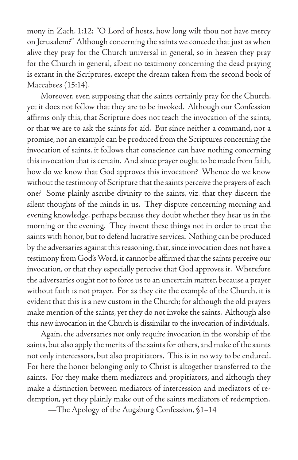mony in Zach. 1:12: "O Lord of hosts, how long wilt thou not have mercy on Jerusalem?" Although concerning the saints we concede that just as when alive they pray for the Church universal in general, so in heaven they pray for the Church in general, albeit no testimony concerning the dead praying is extant in the Scriptures, except the dream taken from the second book of Maccabees (15:14).

Moreover, even supposing that the saints certainly pray for the Church, yet it does not follow that they are to be invoked. Although our Confession affirms only this, that Scripture does not teach the invocation of the saints, or that we are to ask the saints for aid. But since neither a command, nor a promise, nor an example can be produced from the Scriptures concerning the invocation of saints, it follows that conscience can have nothing concerning this invocation that is certain. And since prayer ought to be made from faith, how do we know that God approves this invocation? Whence do we know without the testimony of Scripture that the saints perceive the prayers of each one? Some plainly ascribe divinity to the saints, viz. that they discern the silent thoughts of the minds in us. They dispute concerning morning and evening knowledge, perhaps because they doubt whether they hear us in the morning or the evening. They invent these things not in order to treat the saints with honor, but to defend lucrative services. Nothing can be produced by the adversaries against this reasoning, that, since invocation does not have a testimony from God's Word, it cannot be affirmed that the saints perceive our invocation, or that they especially perceive that God approves it. Wherefore the adversaries ought not to force us to an uncertain matter, because a prayer without faith is not prayer. For as they cite the example of the Church, it is evident that this is a new custom in the Church; for although the old prayers make mention of the saints, yet they do not invoke the saints. Although also this new invocation in the Church is dissimilar to the invocation of individuals.

Again, the adversaries not only require invocation in the worship of the saints, but also apply the merits of the saints for others, and make of the saints not only intercessors, but also propitiators. This is in no way to be endured. For here the honor belonging only to Christ is altogether transferred to the saints. For they make them mediators and propitiators, and although they make a distinction between mediators of intercession and mediators of redemption, yet they plainly make out of the saints mediators of redemption. —The Apology of the Augsburg Confession, §1–14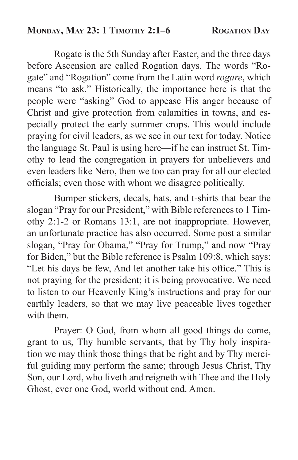Rogate is the 5th Sunday after Easter, and the three days before Ascension are called Rogation days. The words "Rogate" and "Rogation" come from the Latin word *rogare*, which means "to ask." Historically, the importance here is that the people were "asking" God to appease His anger because of Christ and give protection from calamities in towns, and especially protect the early summer crops. This would include praying for civil leaders, as we see in our text for today. Notice the language St. Paul is using here—if he can instruct St. Timothy to lead the congregation in prayers for unbelievers and even leaders like Nero, then we too can pray for all our elected officials; even those with whom we disagree politically.

Bumper stickers, decals, hats, and t-shirts that bear the slogan "Pray for our President," with Bible references to 1 Timothy 2:1-2 or Romans 13:1, are not inappropriate. However, an unfortunate practice has also occurred. Some post a similar slogan, "Pray for Obama," "Pray for Trump," and now "Pray for Biden," but the Bible reference is Psalm 109:8, which says: "Let his days be few, And let another take his office." This is not praying for the president; it is being provocative. We need to listen to our Heavenly King's instructions and pray for our earthly leaders, so that we may live peaceable lives together with them.

Prayer: O God, from whom all good things do come, grant to us, Thy humble servants, that by Thy holy inspiration we may think those things that be right and by Thy merciful guiding may perform the same; through Jesus Christ, Thy Son, our Lord, who liveth and reigneth with Thee and the Holy Ghost, ever one God, world without end. Amen.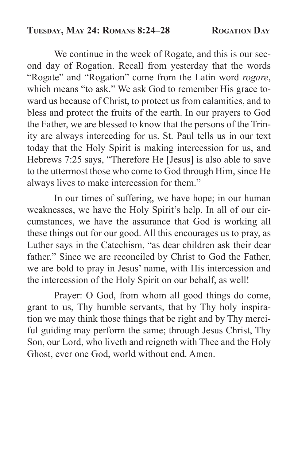We continue in the week of Rogate, and this is our second day of Rogation. Recall from yesterday that the words "Rogate" and "Rogation" come from the Latin word *rogare*, which means "to ask." We ask God to remember His grace toward us because of Christ, to protect us from calamities, and to bless and protect the fruits of the earth. In our prayers to God the Father, we are blessed to know that the persons of the Trinity are always interceding for us. St. Paul tells us in our text today that the Holy Spirit is making intercession for us, and Hebrews 7:25 says, "Therefore He [Jesus] is also able to save to the uttermost those who come to God through Him, since He always lives to make intercession for them."

In our times of suffering, we have hope; in our human weaknesses, we have the Holy Spirit's help. In all of our circumstances, we have the assurance that God is working all these things out for our good. All this encourages us to pray, as Luther says in the Catechism, "as dear children ask their dear father." Since we are reconciled by Christ to God the Father, we are bold to pray in Jesus' name, with His intercession and the intercession of the Holy Spirit on our behalf, as well!

Prayer: O God, from whom all good things do come, grant to us, Thy humble servants, that by Thy holy inspiration we may think those things that be right and by Thy merciful guiding may perform the same; through Jesus Christ, Thy Son, our Lord, who liveth and reigneth with Thee and the Holy Ghost, ever one God, world without end. Amen.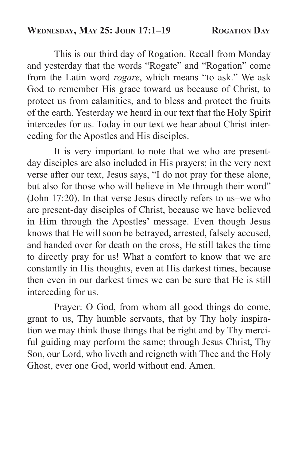This is our third day of Rogation. Recall from Monday and yesterday that the words "Rogate" and "Rogation" come from the Latin word *rogare*, which means "to ask." We ask God to remember His grace toward us because of Christ, to protect us from calamities, and to bless and protect the fruits of the earth. Yesterday we heard in our text that the Holy Spirit intercedes for us. Today in our text we hear about Christ interceding for the Apostles and His disciples.

It is very important to note that we who are presentday disciples are also included in His prayers; in the very next verse after our text, Jesus says, "I do not pray for these alone, but also for those who will believe in Me through their word" (John 17:20). In that verse Jesus directly refers to us–we who are present-day disciples of Christ, because we have believed in Him through the Apostles' message. Even though Jesus knows that He will soon be betrayed, arrested, falsely accused, and handed over for death on the cross, He still takes the time to directly pray for us! What a comfort to know that we are constantly in His thoughts, even at His darkest times, because then even in our darkest times we can be sure that He is still interceding for us.

Prayer: O God, from whom all good things do come, grant to us, Thy humble servants, that by Thy holy inspiration we may think those things that be right and by Thy merciful guiding may perform the same; through Jesus Christ, Thy Son, our Lord, who liveth and reigneth with Thee and the Holy Ghost, ever one God, world without end. Amen.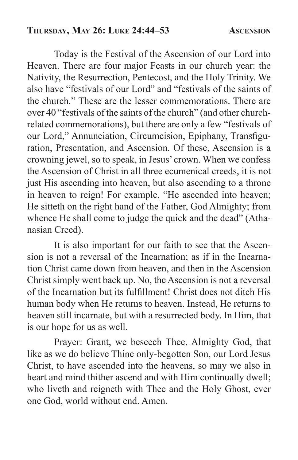Today is the Festival of the Ascension of our Lord into Heaven. There are four major Feasts in our church year: the Nativity, the Resurrection, Pentecost, and the Holy Trinity. We also have "festivals of our Lord" and "festivals of the saints of the church." These are the lesser commemorations. There are over 40 "festivals of the saints of the church" (and other churchrelated commemorations), but there are only a few "festivals of our Lord," Annunciation, Circumcision, Epiphany, Transfiguration, Presentation, and Ascension. Of these, Ascension is a crowning jewel, so to speak, in Jesus' crown. When we confess the Ascension of Christ in all three ecumenical creeds, it is not just His ascending into heaven, but also ascending to a throne in heaven to reign! For example, "He ascended into heaven; He sitteth on the right hand of the Father, God Almighty; from whence He shall come to judge the quick and the dead" (Athanasian Creed).

It is also important for our faith to see that the Ascension is not a reversal of the Incarnation; as if in the Incarnation Christ came down from heaven, and then in the Ascension Christ simply went back up. No, the Ascension is not a reversal of the Incarnation but its fulfllment! Christ does not ditch His human body when He returns to heaven. Instead, He returns to heaven still incarnate, but with a resurrected body. In Him, that is our hope for us as well.

Prayer: Grant, we beseech Thee, Almighty God, that like as we do believe Thine only-begotten Son, our Lord Jesus Christ, to have ascended into the heavens, so may we also in heart and mind thither ascend and with Him continually dwell; who liveth and reigneth with Thee and the Holy Ghost, ever one God, world without end. Amen.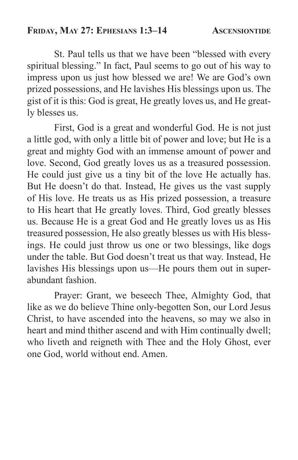St. Paul tells us that we have been "blessed with every spiritual blessing." In fact, Paul seems to go out of his way to impress upon us just how blessed we are! We are God's own prized possessions, and He lavishes His blessings upon us. The gist of it is this: God is great, He greatly loves us, and He greatly blesses us.

First, God is a great and wonderful God. He is not just a little god, with only a little bit of power and love; but He is a great and mighty God with an immense amount of power and love. Second, God greatly loves us as a treasured possession. He could just give us a tiny bit of the love He actually has. But He doesn't do that. Instead, He gives us the vast supply of His love. He treats us as His prized possession, a treasure to His heart that He greatly loves. Third, God greatly blesses us. Because He is a great God and He greatly loves us as His treasured possession, He also greatly blesses us with His blessings. He could just throw us one or two blessings, like dogs under the table. But God doesn't treat us that way. Instead, He lavishes His blessings upon us—He pours them out in superabundant fashion.

Prayer: Grant, we beseech Thee, Almighty God, that like as we do believe Thine only-begotten Son, our Lord Jesus Christ, to have ascended into the heavens, so may we also in heart and mind thither ascend and with Him continually dwell; who liveth and reigneth with Thee and the Holy Ghost, ever one God, world without end. Amen.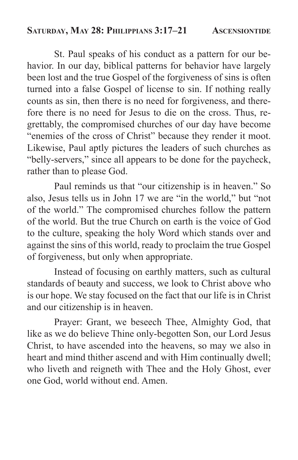St. Paul speaks of his conduct as a pattern for our behavior. In our day, biblical patterns for behavior have largely been lost and the true Gospel of the forgiveness of sins is often turned into a false Gospel of license to sin. If nothing really counts as sin, then there is no need for forgiveness, and therefore there is no need for Jesus to die on the cross. Thus, regrettably, the compromised churches of our day have become "enemies of the cross of Christ" because they render it moot. Likewise, Paul aptly pictures the leaders of such churches as "belly-servers," since all appears to be done for the paycheck, rather than to please God.

Paul reminds us that "our citizenship is in heaven." So also, Jesus tells us in John 17 we are "in the world," but "not of the world." The compromised churches follow the pattern of the world. But the true Church on earth is the voice of God to the culture, speaking the holy Word which stands over and against the sins of this world, ready to proclaim the true Gospel of forgiveness, but only when appropriate.

Instead of focusing on earthly matters, such as cultural standards of beauty and success, we look to Christ above who is our hope. We stay focused on the fact that our life is in Christ and our citizenship is in heaven.

Prayer: Grant, we beseech Thee, Almighty God, that like as we do believe Thine only-begotten Son, our Lord Jesus Christ, to have ascended into the heavens, so may we also in heart and mind thither ascend and with Him continually dwell; who liveth and reigneth with Thee and the Holy Ghost, ever one God, world without end. Amen.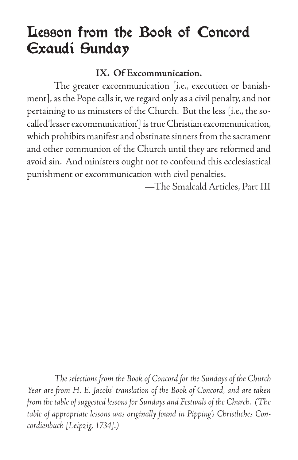# Lesson from the Book of Concord Exaudi Sunday

# IX. Of Excommunication.

 The greater excommunication [i.e., execution or banishment], as the Pope calls it, we regard only as a civil penalty, and not pertaining to us ministers of the Church. But the less [i.e., the socalled 'lesser excommunication'] is true Christian excommunication, which prohibits manifest and obstinate sinners from the sacrament and other communion of the Church until they are reformed and avoid sin. And ministers ought not to confound this ecclesiastical punishment or excommunication with civil penalties.

—The Smalcald Articles, Part III

*The selections from the Book of Concord for the Sundays of the Church Year are from H. E. Jacobs' translation of the Book of Concord, and are taken from the table of suggested lessons for Sundays and Festivals of the Church. (The table of appropriate lessons was originally found in Pipping's Christliches Concordienbuch [Leipzig, 1734].)*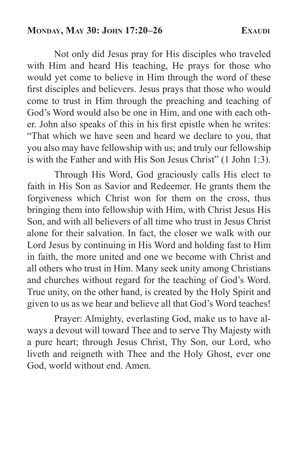Not only did Jesus pray for His disciples who traveled with Him and heard His teaching, He prays for those who would yet come to believe in Him through the word of these frst disciples and believers. Jesus prays that those who would come to trust in Him through the preaching and teaching of God's Word would also be one in Him, and one with each other. John also speaks of this in his frst epistle when he writes: "That which we have seen and heard we declare to you, that you also may have fellowship with us; and truly our fellowship is with the Father and with His Son Jesus Christ" (1 John 1:3).

Through His Word, God graciously calls His elect to faith in His Son as Savior and Redeemer. He grants them the forgiveness which Christ won for them on the cross, thus bringing them into fellowship with Him, with Christ Jesus His Son, and with all believers of all time who trust in Jesus Christ alone for their salvation. In fact, the closer we walk with our Lord Jesus by continuing in His Word and holding fast to Him in faith, the more united and one we become with Christ and all others who trust in Him. Many seek unity among Christians and churches without regard for the teaching of God's Word. True unity, on the other hand, is created by the Holy Spirit and given to us as we hear and believe all that God's Word teaches!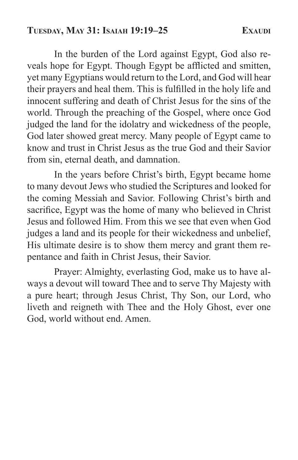#### **TUESDAY, MAY 31: ISAIAH 19:19-25 EXAUDI**

In the burden of the Lord against Egypt, God also reveals hope for Egypt. Though Egypt be afficted and smitten, yet many Egyptians would return to the Lord, and God will hear their prayers and heal them. This is fulflled in the holy life and innocent suffering and death of Christ Jesus for the sins of the world. Through the preaching of the Gospel, where once God judged the land for the idolatry and wickedness of the people, God later showed great mercy. Many people of Egypt came to know and trust in Christ Jesus as the true God and their Savior from sin, eternal death, and damnation.

In the years before Christ's birth, Egypt became home to many devout Jews who studied the Scriptures and looked for the coming Messiah and Savior. Following Christ's birth and sacrifce, Egypt was the home of many who believed in Christ Jesus and followed Him. From this we see that even when God judges a land and its people for their wickedness and unbelief, His ultimate desire is to show them mercy and grant them repentance and faith in Christ Jesus, their Savior.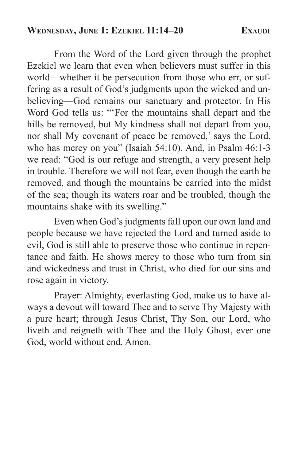From the Word of the Lord given through the prophet Ezekiel we learn that even when believers must suffer in this world—whether it be persecution from those who err, or suffering as a result of God's judgments upon the wicked and unbelieving—God remains our sanctuary and protector. In His Word God tells us: "'For the mountains shall depart and the hills be removed, but My kindness shall not depart from you, nor shall My covenant of peace be removed,' says the Lord, who has mercy on you" (Isaiah 54:10). And, in Psalm 46:1-3 we read: "God is our refuge and strength, a very present help in trouble. Therefore we will not fear, even though the earth be removed, and though the mountains be carried into the midst of the sea; though its waters roar and be troubled, though the mountains shake with its swelling."

Even when God's judgments fall upon our own land and people because we have rejected the Lord and turned aside to evil, God is still able to preserve those who continue in repentance and faith. He shows mercy to those who turn from sin and wickedness and trust in Christ, who died for our sins and rose again in victory.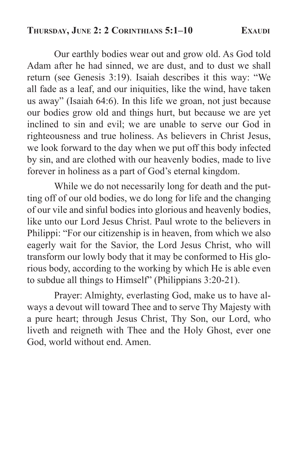### Thursday, June 2: 2 Corinthians 5:1-10 **EXAUDI**

Our earthly bodies wear out and grow old. As God told Adam after he had sinned, we are dust, and to dust we shall return (see Genesis 3:19). Isaiah describes it this way: "We all fade as a leaf, and our iniquities, like the wind, have taken us away" (Isaiah 64:6). In this life we groan, not just because our bodies grow old and things hurt, but because we are yet inclined to sin and evil; we are unable to serve our God in righteousness and true holiness. As believers in Christ Jesus, we look forward to the day when we put off this body infected by sin, and are clothed with our heavenly bodies, made to live forever in holiness as a part of God's eternal kingdom.

While we do not necessarily long for death and the putting off of our old bodies, we do long for life and the changing of our vile and sinful bodies into glorious and heavenly bodies, like unto our Lord Jesus Christ. Paul wrote to the believers in Philippi: "For our citizenship is in heaven, from which we also eagerly wait for the Savior, the Lord Jesus Christ, who will transform our lowly body that it may be conformed to His glorious body, according to the working by which He is able even to subdue all things to Himself" (Philippians 3:20-21).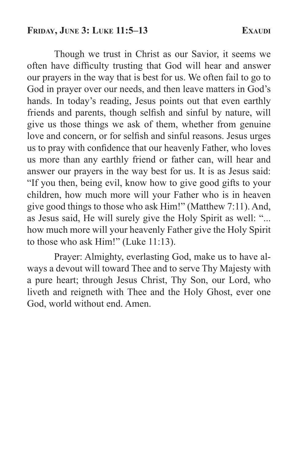Though we trust in Christ as our Savior, it seems we often have diffculty trusting that God will hear and answer our prayers in the way that is best for us. We often fail to go to God in prayer over our needs, and then leave matters in God's hands. In today's reading, Jesus points out that even earthly friends and parents, though selfsh and sinful by nature, will give us those things we ask of them, whether from genuine love and concern, or for selfsh and sinful reasons. Jesus urges us to pray with confdence that our heavenly Father, who loves us more than any earthly friend or father can, will hear and answer our prayers in the way best for us. It is as Jesus said: "If you then, being evil, know how to give good gifts to your children, how much more will your Father who is in heaven give good things to those who ask Him!" (Matthew 7:11). And, as Jesus said, He will surely give the Holy Spirit as well: "... how much more will your heavenly Father give the Holy Spirit to those who ask Him!" (Luke 11:13).